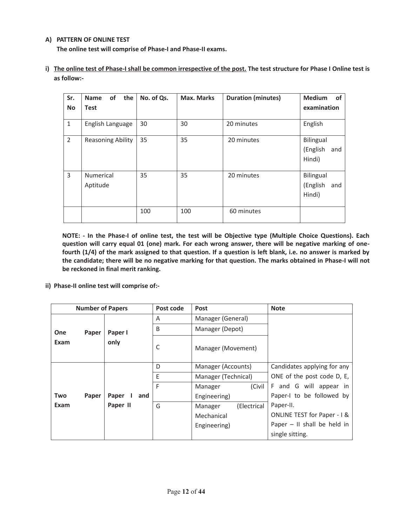## **A) PATTERN OF ONLINE TEST**

**The online test will comprise of Phase-I and Phase-II exams.** 

| Sr.<br><b>No</b> | the<br>of<br><b>Name</b><br>Test | No. of Qs. | Max. Marks | <b>Duration (minutes)</b> | <b>Medium</b><br>0f<br>examination     |
|------------------|----------------------------------|------------|------------|---------------------------|----------------------------------------|
| 1                | English Language                 | 30         | 30         | 20 minutes                | English                                |
| $\overline{2}$   | <b>Reasoning Ability</b>         | 35         | 35         | 20 minutes                | Bilingual<br>(English<br>and<br>Hindi) |
| 3                | <b>Numerical</b><br>Aptitude     | 35         | 35         | 20 minutes                | Bilingual<br>(English<br>and<br>Hindi) |
|                  |                                  | 100        | 100        | 60 minutes                |                                        |

**i) The online test of Phase-I shall be common irrespective of the post. The test structure for Phase I Online test is as follow:-** 

**NOTE: - In the Phase-I of online test, the test will be Objective type (Multiple Choice Questions). Each question will carry equal 01 (one) mark. For each wrong answer, there will be negative marking of onefourth (1/4) of the mark assigned to that question. If a question is left blank, i.e. no answer is marked by the candidate; there will be no negative marking for that question. The marks obtained in Phase-I will not be reckoned in final merit ranking.** 

**ii) Phase-II online test will comprise of:-** 

| <b>Number of Papers</b> |       | Post code       | Post | <b>Note</b>            |                               |
|-------------------------|-------|-----------------|------|------------------------|-------------------------------|
| <b>One</b><br>Exam      | Paper | Paper I<br>only | A    | Manager (General)      |                               |
|                         |       |                 | B    | Manager (Depot)        |                               |
|                         |       |                 | C    | Manager (Movement)     |                               |
|                         |       |                 | D    | Manager (Accounts)     | Candidates applying for any   |
|                         |       |                 | E    | Manager (Technical)    | ONE of the post code D, E,    |
|                         |       |                 | F    | (Civil<br>Manager      | F and G will appear in        |
| Two                     | Paper | Paper<br>and    |      | Engineering)           | Paper-I to be followed by     |
| Exam                    |       | Paper II        | G    | (Electrical<br>Manager | Paper-II.                     |
|                         |       |                 |      | Mechanical             | ONLINE TEST for Paper - 1 &   |
|                         |       |                 |      | Engineering)           | Paper $-$ II shall be held in |
|                         |       |                 |      |                        | single sitting.               |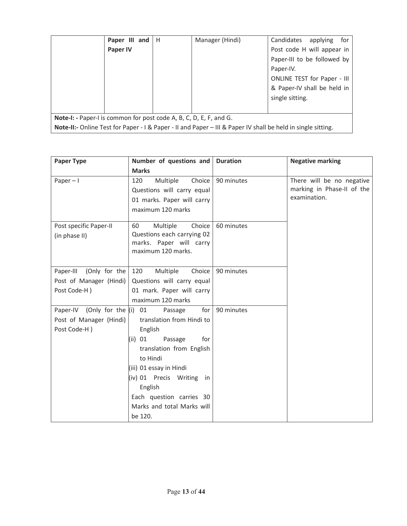|                                                                                                              | Paper III and   H |  | Manager (Hindi) | Candidates<br>for<br>applying |
|--------------------------------------------------------------------------------------------------------------|-------------------|--|-----------------|-------------------------------|
|                                                                                                              | Paper IV          |  |                 | Post code H will appear in    |
|                                                                                                              |                   |  |                 | Paper-III to be followed by   |
|                                                                                                              |                   |  |                 | Paper-IV.                     |
|                                                                                                              |                   |  |                 | ONLINE TEST for Paper - III   |
|                                                                                                              |                   |  |                 | & Paper-IV shall be held in   |
|                                                                                                              |                   |  |                 | single sitting.               |
|                                                                                                              |                   |  |                 |                               |
| Note-I: - Paper-I is common for post code A, B, C, D, E, F, and G.                                           |                   |  |                 |                               |
| Note-II:- Online Test for Paper - I & Paper - II and Paper - III & Paper IV shall be held in single sitting. |                   |  |                 |                               |

| <b>Paper Type</b>                                                       | Number of questions and Duration                                                                                                                                                                                                                                                   |            | <b>Negative marking</b>                                                 |  |
|-------------------------------------------------------------------------|------------------------------------------------------------------------------------------------------------------------------------------------------------------------------------------------------------------------------------------------------------------------------------|------------|-------------------------------------------------------------------------|--|
|                                                                         | <b>Marks</b>                                                                                                                                                                                                                                                                       |            |                                                                         |  |
| Paper $-1$                                                              | Multiple<br>120<br>Choice<br>Questions will carry equal<br>01 marks. Paper will carry<br>maximum 120 marks                                                                                                                                                                         | 90 minutes | There will be no negative<br>marking in Phase-II of the<br>examination. |  |
| Post specific Paper-II<br>(in phase II)                                 | Multiple<br>Choice<br>60<br>Questions each carrying 02<br>marks. Paper will carry<br>maximum 120 marks.                                                                                                                                                                            | 60 minutes |                                                                         |  |
| (Only for the<br>Paper-III<br>Post of Manager (Hindi)<br>Post Code-H)   | 120<br>Multiple<br>Choice<br>Questions will carry equal<br>01 mark. Paper will carry<br>maximum 120 marks                                                                                                                                                                          | 90 minutes |                                                                         |  |
| Paper-IV (Only for the $(i)$<br>Post of Manager (Hindi)<br>Post Code-H) | for $ $<br>01<br>Passage<br>translation from Hindi to<br>English<br>$(ii)$ 01<br>Passage<br>for<br>translation from English<br>to Hindi<br>(iii) 01 essay in Hindi<br>(iv) 01 Precis Writing<br>in<br>English<br>Each question carries 30<br>Marks and total Marks will<br>be 120. | 90 minutes |                                                                         |  |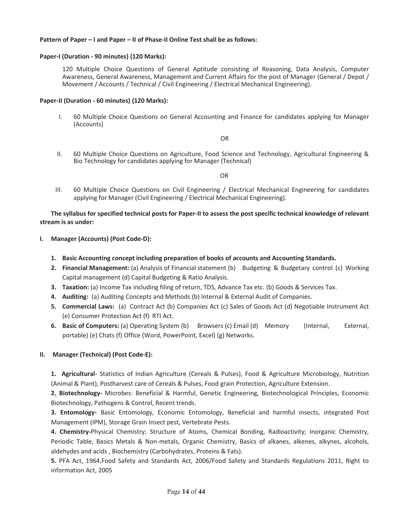#### **Pattern of Paper – I and Paper – II of Phase-II Online Test shall be as follows:**

#### **Paper-I (Duration - 90 minutes) (120 Marks):**

120 Multiple Choice Questions of General Aptitude consisting of Reasoning, Data Analysis, Computer Awareness, General Awareness, Management and Current Affairs for the post of Manager (General / Depot / Movement / Accounts / Technical / Civil Engineering / Electrical Mechanical Engineering).

#### **Paper-II (Duration - 60 minutes) (120 Marks):**

I. 60 Multiple Choice Questions on General Accounting and Finance for candidates applying for Manager (Accounts)

OR

II. 60 Multiple Choice Questions on Agriculture, Food Science and Technology, Agricultural Engineering & Bio Technology for candidates applying for Manager (Technical)

OR

III. 60 Multiple Choice Questions on Civil Engineering / Electrical Mechanical Engineering for candidates applying for Manager (Civil Engineering / Electrical Mechanical Engineering).

#### **The syllabus for specified technical posts for Paper-II to assess the post specific technical knowledge of relevant stream is as under:**

- **I. Manager (Accounts) (Post Code-D):** 
	- **1. Basic Accounting concept including preparation of books of accounts and Accounting Standards.**
	- **2. Financial Management:** (a) Analysis of Financial statement (b) Budgeting & Budgetary control (c) Working Capital management (d) Capital Budgeting & Ratio Analysis.
	- **3. Taxation:** (a) Income Tax including filing of return, TDS, Advance Tax etc. (b) Goods & Services Tax.
	- **4. Auditing:** (a) Auditing Concepts and Methods (b) Internal & External Audit of Companies.
	- **5. Commercial Laws:** (a) Contract Act (b) Companies Act (c) Sales of Goods Act (d) Negotiable Instrument Act (e) Consumer Protection Act (f) RTI Act.
	- **6. Basic of Computers:** (a) Operating System (b) Browsers (c) Email (d) Memory (Internal, External, portable) (e) Chats (f) Office (Word, PowerPoint, Excel) (g) Networks.

#### **II. Manager (Technical) (Post Code-E):**

**1. Agricultural**- Statistics of Indian Agriculture (Cereals & Pulses), Food & Agriculture Microbiology, Nutrition (Animal & Plant), Postharvest care of Cereals & Pulses, Food grain Protection, Agriculture Extension.

**2. Biotechnology-** Microbes: Beneficial & Harmful, Genetic Engineering, Biotechnological Principles, Economic Biotechnology, Pathogens & Control, Recent trends.

**3. Entomology-** Basic Entomology, Economic Entomology, Beneficial and harmful insects, integrated Post Management (IPM), Storage Grain Insect pest, Vertebrate Pests.

**4. Chemistry-**Physical Chemistry: Structure of Atoms, Chemical Bonding, Radioactivity; Inorganic Chemistry, Periodic Table, Basics Metals & Non-metals, Organic Chemistry, Basics of alkanes, alkenes, alkynes, alcohols, aldehydes and acids , Biochemistry (Carbohydrates, Proteins & Fats).

**5.** PFA Act, 1964,Food Safety and Standards Act, 2006/Food Safety and Standards Regulations 2011, Right to information Act, 2005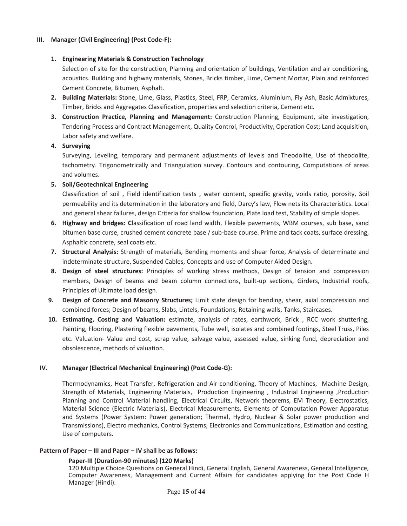### **III. Manager (Civil Engineering) (Post Code-F):**

## **1. Engineering Materials & Construction Technology**

Selection of site for the construction, Planning and orientation of buildings, Ventilation and air conditioning, acoustics. Building and highway materials, Stones, Bricks timber, Lime, Cement Mortar, Plain and reinforced Cement Concrete, Bitumen, Asphalt.

- **2. Building Materials:** Stone, Lime, Glass, Plastics, Steel, FRP, Ceramics, Aluminium, Fly Ash, Basic Admixtures, Timber, Bricks and Aggregates Classification, properties and selection criteria, Cement etc.
- **3. Construction Practice, Planning and Management:** Construction Planning, Equipment, site investigation, Tendering Process and Contract Management, Quality Control, Productivity, Operation Cost; Land acquisition, Labor safety and welfare.

## **4. Surveying**

Surveying, Leveling, temporary and permanent adjustments of levels and Theodolite, Use of theodolite, tachometry. Trigonometrically and Triangulation survey. Contours and contouring, Computations of areas and volumes.

## **5. Soil/Geotechnical Engineering**

Classification of soil , Field identification tests , water content, specific gravity, voids ratio, porosity, Soil permeability and its determination in the laboratory and field, Darcy's law, Flow nets its Characteristics. Local and general shear failures, design Criteria for shallow foundation, Plate load test, Stability of simple slopes.

- **6. Highway and bridges: C**lassification of road land width, Flexible pavements, WBM courses, sub base, sand bitumen base curse, crushed cement concrete base / sub-base course. Prime and tack coats, surface dressing, Asphaltic concrete, seal coats etc.
- **7. Structural Analysis:** Strength of materials, Bending moments and shear force, Analysis of determinate and indeterminate structure, Suspended Cables, Concepts and use of Computer Aided Design.
- **8. Design of steel structures:** Principles of working stress methods, Design of tension and compression members, Design of beams and beam column connections, built-up sections, Girders, Industrial roofs, Principles of Ultimate load design.
- **9. Design of Concrete and Masonry Structures;** Limit state design for bending, shear, axial compression and combined forces; Design of beams, Slabs, Lintels, Foundations, Retaining walls, Tanks, Staircases.
- **10. Estimating, Costing and Valuation:** estimate, analysis of rates, earthwork, Brick , RCC work shuttering, Painting, Flooring, Plastering flexible pavements, Tube well, isolates and combined footings, Steel Truss, Piles etc. Valuation- Value and cost, scrap value, salvage value, assessed value, sinking fund, depreciation and obsolescence, methods of valuation.

#### **IV. Manager (Electrical Mechanical Engineering) (Post Code-G):**

Thermodynamics, Heat Transfer, Refrigeration and Air-conditioning, Theory of Machines, Machine Design, Strength of Materials, Engineering Materials, Production Engineering , Industrial Engineering ,Production Planning and Control Material handling, Electrical Circuits, Network theorems, EM Theory, Electrostatics, Material Science (Electric Materials), Electrical Measurements, Elements of Computation Power Apparatus and Systems (Power System: Power generation; Thermal, Hydro, Nuclear & Solar power production and Transmissions), Electro mechanics, Control Systems, Electronics and Communications, Estimation and costing, Use of computers.

#### **Pattern of Paper – III and Paper – IV shall be as follows:**

# **Paper-III (Duration-90 minutes) (120 Marks)**

120 Multiple Choice Questions on General Hindi, General English, General Awareness, General Intelligence, Computer Awareness, Management and Current Affairs for candidates applying for the Post Code H Manager (Hindi).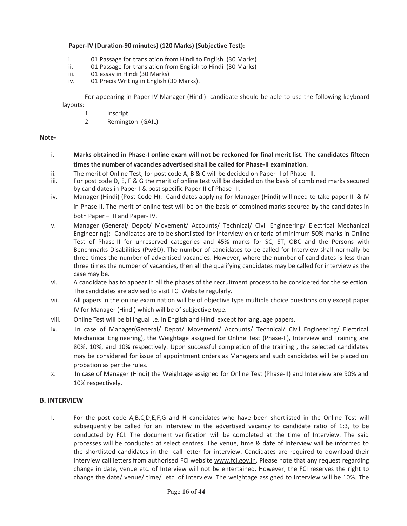# **Paper-IV (Duration-90 minutes) (120 Marks) (Subjective Test):**

- i. 01 Passage for translation from Hindi to English (30 Marks)
- ii. 01 Passage for translation from English to Hindi (30 Marks)
- iii. 01 essay in Hindi (30 Marks)
- iv. 01 Precis Writing in English (30 Marks).

For appearing in Paper-IV Manager (Hindi) candidate should be able to use the following keyboard layouts:

- 1. Inscript
- 2. Remington (GAIL)

# **Note-**

- i. **Marks obtained in Phase-I online exam will not be reckoned for final merit list. The candidates fifteen times the number of vacancies advertised shall be called for Phase-II examination.**
- ii. The merit of Online Test, for post code A, B & C will be decided on Paper -I of Phase- II.
- iii. For post code D, E, F & G the merit of online test will be decided on the basis of combined marks secured by candidates in Paper-I & post specific Paper-II of Phase- II.
- iv. Manager (Hindi) (Post Code-H):- Candidates applying for Manager (Hindi) will need to take paper III & IV in Phase II. The merit of online test will be on the basis of combined marks secured by the candidates in both Paper – III and Paper- IV.
- v. Manager (General/ Depot/ Movement/ Accounts/ Technical/ Civil Engineering/ Electrical Mechanical Engineering):- Candidates are to be shortlisted for Interview on criteria of minimum 50% marks in Online Test of Phase-II for unreserved categories and 45% marks for SC, ST, OBC and the Persons with Benchmarks Disabilities (PwBD). The number of candidates to be called for Interview shall normally be three times the number of advertised vacancies. However, where the number of candidates is less than three times the number of vacancies, then all the qualifying candidates may be called for interview as the case may be.
- vi. A candidate has to appear in all the phases of the recruitment process to be considered for the selection. The candidates are advised to visit FCI Website regularly.
- vii. All papers in the online examination will be of objective type multiple choice questions only except paper IV for Manager (Hindi) which will be of subjective type.
- viii. Online Test will be bilingual i.e. in English and Hindi except for language papers.
- ix. In case of Manager(General/ Depot/ Movement/ Accounts/ Technical/ Civil Engineering/ Electrical Mechanical Engineering), the Weightage assigned for Online Test (Phase-II), Interview and Training are 80%, 10%, and 10% respectively. Upon successful completion of the training , the selected candidates may be considered for issue of appointment orders as Managers and such candidates will be placed on probation as per the rules.
- x. In case of Manager (Hindi) the Weightage assigned for Online Test (Phase-II) and Interview are 90% and 10% respectively.

# **B. INTERVIEW**

I. For the post code A,B,C,D,E,F,G and H candidates who have been shortlisted in the Online Test will subsequently be called for an Interview in the advertised vacancy to candidate ratio of 1:3, to be conducted by FCI. The document verification will be completed at the time of Interview. The said processes will be conducted at select centres. The venue, time & date of Interview will be informed to the shortlisted candidates in the call letter for interview. Candidates are required to download their Interview call letters from authorised FCI website www.fci.gov.in. Please note that any request regarding change in date, venue etc. of Interview will not be entertained. However, the FCI reserves the right to change the date/ venue/ time/ etc. of Interview. The weightage assigned to Interview will be 10%. The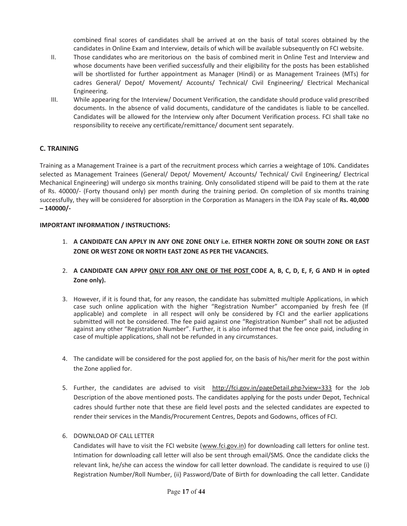combined final scores of candidates shall be arrived at on the basis of total scores obtained by the candidates in Online Exam and Interview, details of which will be available subsequently on FCI website.

- II. Those candidates who are meritorious on the basis of combined merit in Online Test and Interview and whose documents have been verified successfully and their eligibility for the posts has been established will be shortlisted for further appointment as Manager (Hindi) or as Management Trainees (MTs) for cadres General/ Depot/ Movement/ Accounts/ Technical/ Civil Engineering/ Electrical Mechanical Engineering.
- III. While appearing for the Interview/ Document Verification, the candidate should produce valid prescribed documents. In the absence of valid documents, candidature of the candidates is liable to be cancelled. Candidates will be allowed for the Interview only after Document Verification process. FCI shall take no responsibility to receive any certificate/remittance/ document sent separately.

# **C. TRAINING**

Training as a Management Trainee is a part of the recruitment process which carries a weightage of 10%. Candidates selected as Management Trainees (General/ Depot/ Movement/ Accounts/ Technical/ Civil Engineering/ Electrical Mechanical Engineering) will undergo six months training. Only consolidated stipend will be paid to them at the rate of Rs. 40000/- (Forty thousand only) per month during the training period. On completion of six months training successfully, they will be considered for absorption in the Corporation as Managers in the IDA Pay scale of **Rs. 40,000 – 140000/-** 

# **IMPORTANT INFORMATION / INSTRUCTIONS:**

- 1. **A CANDIDATE CAN APPLY IN ANY ONE ZONE ONLY i.e. EITHER NORTH ZONE OR SOUTH ZONE OR EAST ZONE OR WEST ZONE OR NORTH EAST ZONE AS PER THE VACANCIES.**
- 2. A CANDIDATE CAN APPLY ONLY FOR ANY ONE OF THE POST CODE A, B, C, D, E, F, G AND H in opted **Zone only).**
- 3. However, if it is found that, for any reason, the candidate has submitted multiple Applications, in which case such online application with the higher "Registration Number" accompanied by fresh fee (If applicable) and complete in all respect will only be considered by FCI and the earlier applications submitted will not be considered. The fee paid against one "Registration Number" shall not be adjusted against any other "Registration Number". Further, it is also informed that the fee once paid, including in case of multiple applications, shall not be refunded in any circumstances.
- 4. The candidate will be considered for the post applied for, on the basis of his/her merit for the post within the Zone applied for.
- 5. Further, the candidates are advised to visit http://fci.gov.in/pageDetail.php?view=333 for the Job Description of the above mentioned posts. The candidates applying for the posts under Depot, Technical cadres should further note that these are field level posts and the selected candidates are expected to render their services in the Mandis/Procurement Centres, Depots and Godowns, offices of FCI.
- 6. DOWNLOAD OF CALL LETTER

Candidates will have to visit the FCI website (www.fci.gov.in) for downloading call letters for online test. Intimation for downloading call letter will also be sent through email/SMS. Once the candidate clicks the relevant link, he/she can access the window for call letter download. The candidate is required to use (i) Registration Number/Roll Number, (ii) Password/Date of Birth for downloading the call letter. Candidate